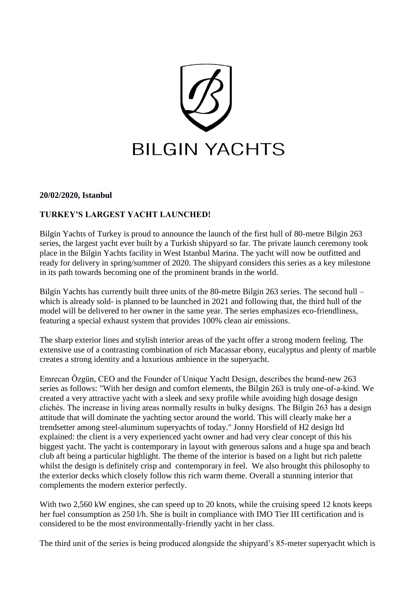

#### **20/02/2020, Istanbul**

## **TURKEY'S LARGEST YACHT LAUNCHED!**

Bilgin Yachts of Turkey is proud to announce the launch of the first hull of 80-metre Bilgin 263 series, the largest yacht ever built by a Turkish shipyard so far. The private launch ceremony took place in the Bilgin Yachts facility in West Istanbul Marina. The yacht will now be outfitted and ready for delivery in spring/summer of 2020. The shipyard considers this series as a key milestone in its path towards becoming one of the prominent brands in the world.

Bilgin Yachts has currently built three units of the 80-metre Bilgin 263 series. The second hull – which is already sold- is planned to be launched in 2021 and following that, the third hull of the model will be delivered to her owner in the same year. The series emphasizes eco-friendliness, featuring a special exhaust system that provides 100% clean air emissions.

The sharp exterior lines and stylish interior areas of the yacht offer a strong modern feeling. The extensive use of a contrasting combination of rich Macassar ebony, eucalyptus and plenty of marble creates a strong identity and a luxurious ambience in the superyacht.

Emrecan Özgün, CEO and the Founder of Unique Yacht Design, describes the brand-new 263 series as follows: "With her design and comfort elements, the Bilgin 263 is truly one-of-a-kind. We created a very attractive yacht with a sleek and sexy profile while avoiding high dosage design clichés. The increase in living areas normally results in bulky designs. The Bilgin 263 has a design attitude that will dominate the yachting sector around the world. This will clearly make her a trendsetter among steel-aluminum superyachts of today." Jonny Horsfield of H2 design ltd explained: the client is a very experienced yacht owner and had very clear concept of this his biggest yacht. The yacht is contemporary in layout with generous salons and a huge spa and beach club aft being a particular highlight. The theme of the interior is based on a light but rich palette whilst the design is definitely crisp and contemporary in feel. We also brought this philosophy to the exterior decks which closely follow this rich warm theme. Overall a stunning interior that complements the modern exterior perfectly.

With two 2,560 kW engines, she can speed up to 20 knots, while the cruising speed 12 knots keeps her fuel consumption as 250 l/h. She is built in compliance with IMO Tier III certification and is considered to be the most environmentally-friendly yacht in her class.

The third unit of the series is being produced alongside the shipyard's 85-meter superyacht which is